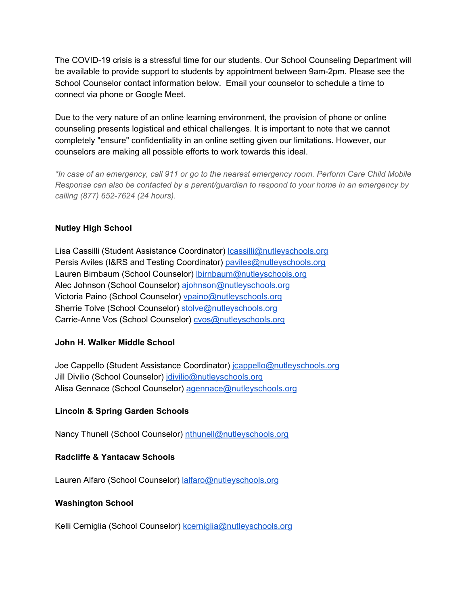The COVID-19 crisis is a stressful time for our students. Our School Counseling Department will be available to provide support to students by appointment between 9am-2pm. Please see the School Counselor contact information below. Email your counselor to schedule a time to connect via phone or Google Meet.

Due to the very nature of an online learning environment, the provision of phone or online counseling presents logistical and ethical challenges. It is important to note that we cannot completely "ensure" confidentiality in an online setting given our limitations. However, our counselors are making all possible efforts to work towards this ideal.

*\*In case of an emergency, call 911 or go to the nearest emergency room. Perform Care Child Mobile Response can also be contacted by a parent/guardian to respond to your home in an emergency by calling (877) 652-7624 (24 hours).*

#### **Nutley High School**

Lisa Cassilli (Student Assistance Coordinator) [lcassilli@nutleyschools.org](mailto:lcassilli@nutleyschools.org) Persis Aviles (I&RS and Testing Coordinator) [paviles@nutleyschools.org](mailto:paviles@nutleyschools.org) Lauren Birnbaum (School Counselor) [lbirnbaum@nutleyschools.org](mailto:lbirnbaum@nutleyschools.org) Alec Johnson (School Counselor) [ajohnson@nutleyschools.org](mailto:ajohnson@nutleyschools.org) Victoria Paino (School Counselor) [vpaino@nutleyschools.org](mailto:vpaino@nutleyschools.org) Sherrie Tolve (School Counselor) [stolve@nutleyschools.org](mailto:stolve@nutleyschools.org) Carrie-Anne Vos (School Counselor) [cvos@nutleyschools.org](mailto:cvos@nutleyschools.org)

# **John H. Walker Middle School**

Joe Cappello (Student Assistance Coordinator) *cappello@nutleyschools.org* Jill Divilio (School Counselor) [jdivilio@nutleyschools.org](mailto:jdivilio@nutleyschools.org) Alisa Gennace (School Counselor) [agennace@nutleyschools.org](mailto:agennace@nutleyschools.org)

# **Lincoln & Spring Garden Schools**

Nancy Thunell (School Counselor) [nthunell@nutleyschools.org](mailto:nthunell@nutleyschools.org)

# **Radcliffe & Yantacaw Schools**

Lauren Alfaro (School Counselor) [lalfaro@nutleyschools.org](mailto:lalfaro@nutleyschools.org)

# **Washington School**

Kelli Cerniglia (School Counselor) [kcerniglia@nutleyschools.org](mailto:kcerniglia@nutleyschools.org)